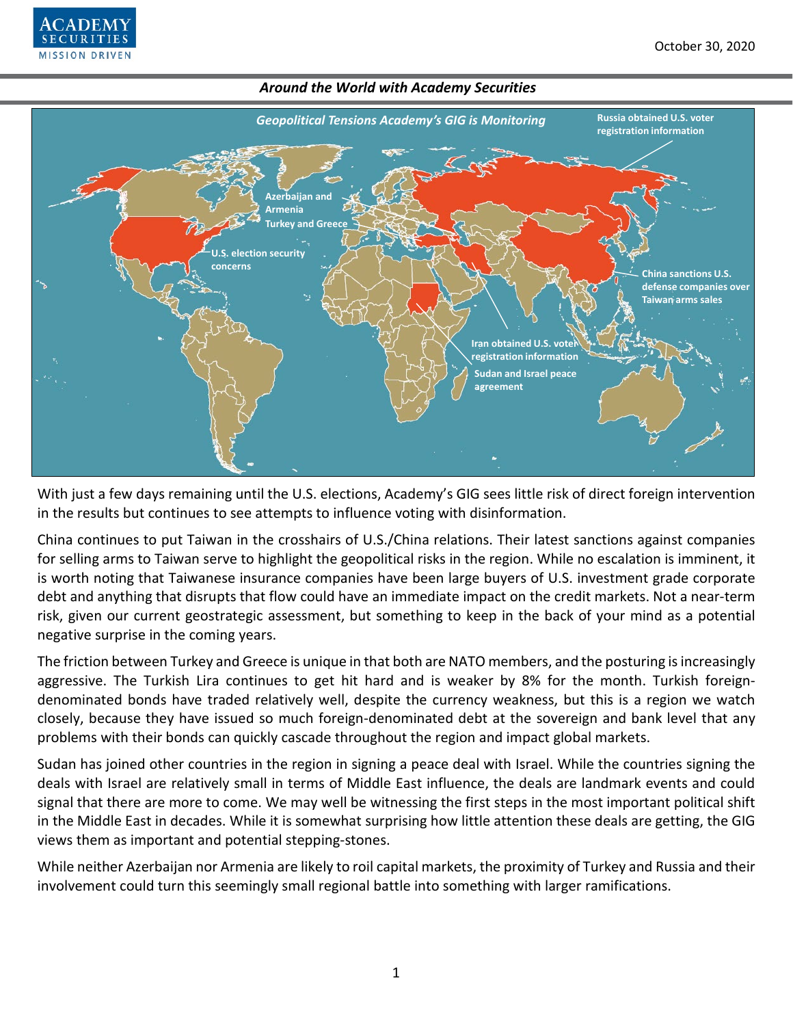



With just a few days remaining until the U.S. elections, Academy's GIG sees little risk of direct foreign intervention in the results but continues to see attempts to influence voting with disinformation.

China continues to put Taiwan in the crosshairs of U.S./China relations. Their latest sanctions against companies for selling arms to Taiwan serve to highlight the geopolitical risks in the region. While no escalation is imminent, it is worth noting that Taiwanese insurance companies have been large buyers of U.S. investment grade corporate debt and anything that disrupts that flow could have an immediate impact on the credit markets. Not a near-term risk, given our current geostrategic assessment, but something to keep in the back of your mind as a potential negative surprise in the coming years.

The friction between Turkey and Greece is unique in that both are NATO members, and the posturing is increasingly aggressive. The Turkish Lira continues to get hit hard and is weaker by 8% for the month. Turkish foreigndenominated bonds have traded relatively well, despite the currency weakness, but this is a region we watch closely, because they have issued so much foreign-denominated debt at the sovereign and bank level that any problems with their bonds can quickly cascade throughout the region and impact global markets.

Sudan has joined other countries in the region in signing a peace deal with Israel. While the countries signing the deals with Israel are relatively small in terms of Middle East influence, the deals are landmark events and could signal that there are more to come. We may well be witnessing the first steps in the most important political shift in the Middle East in decades. While it is somewhat surprising how little attention these deals are getting, the GIG views them as important and potential stepping-stones.

While neither Azerbaijan nor Armenia are likely to roil capital markets, the proximity of Turkey and Russia and their involvement could turn this seemingly small regional battle into something with larger ramifications.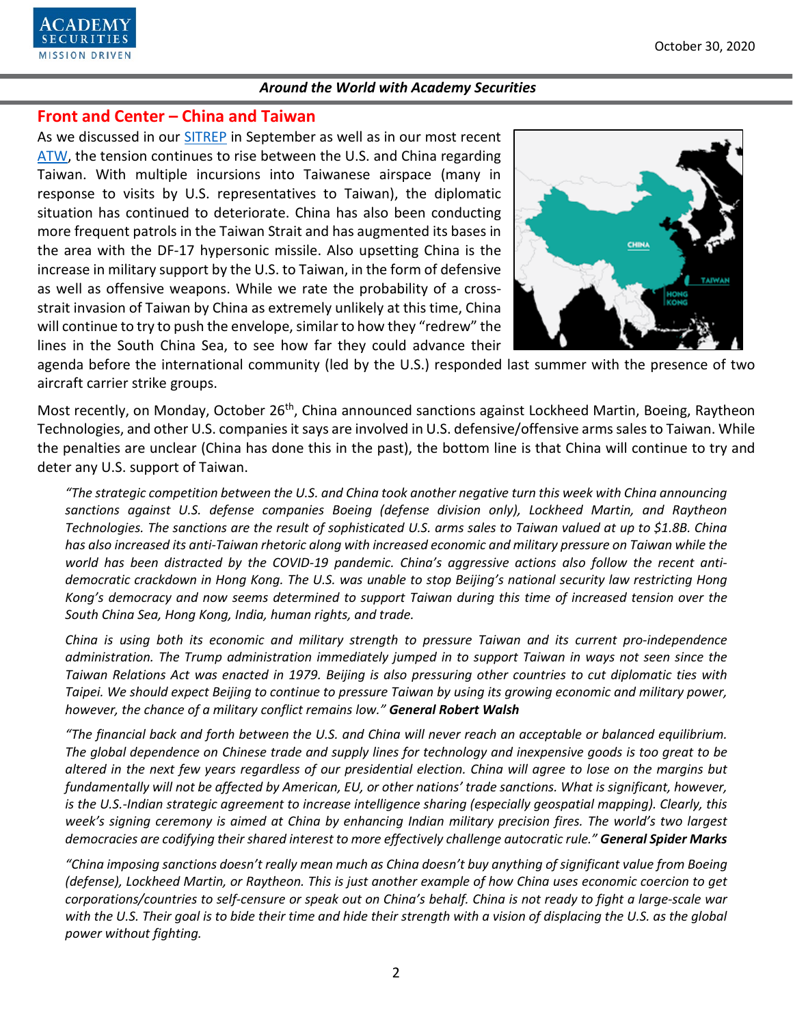

# **Front and Center – China and Taiwan**

As we discussed in our [SITREP](https://www.academysecurities.com/is-taiwan-at-risk/) in September as well as in our most recent [ATW,](https://www.academysecurities.com/wordpress/wp-content/uploads/2020/09/Around-the-World-with-Academy-Securities_10-1-20.pdf) the tension continues to rise between the U.S. and China regarding Taiwan. With multiple incursions into Taiwanese airspace (many in response to visits by U.S. representatives to Taiwan), the diplomatic situation has continued to deteriorate. China has also been conducting more frequent patrols in the Taiwan Strait and has augmented its bases in the area with the DF-17 hypersonic missile. Also upsetting China is the increase in military support by the U.S. to Taiwan, in the form of defensive as well as offensive weapons. While we rate the probability of a crossstrait invasion of Taiwan by China as extremely unlikely at this time, China will continue to try to push the envelope, similar to how they "redrew" the lines in the South China Sea, to see how far they could advance their



agenda before the international community (led by the U.S.) responded last summer with the presence of two aircraft carrier strike groups.

Most recently, on Monday, October 26<sup>th</sup>, China announced sanctions against Lockheed Martin, Boeing, Raytheon Technologies, and other U.S. companies it says are involved in U.S. defensive/offensive arms sales to Taiwan. While the penalties are unclear (China has done this in the past), the bottom line is that China will continue to try and deter any U.S. support of Taiwan.

*"The strategic competition between the U.S. and China took another negative turn this week with China announcing sanctions against U.S. defense companies Boeing (defense division only), Lockheed Martin, and Raytheon Technologies. The sanctions are the result of sophisticated U.S. arms sales to Taiwan valued at up to \$1.8B. China has also increased its anti-Taiwan rhetoric along with increased economic and military pressure on Taiwan while the world has been distracted by the COVID-19 pandemic. China's aggressive actions also follow the recent antidemocratic crackdown in Hong Kong. The U.S. was unable to stop Beijing's national security law restricting Hong Kong's democracy and now seems determined to support Taiwan during this time of increased tension over the South China Sea, Hong Kong, India, human rights, and trade.* 

*China is using both its economic and military strength to pressure Taiwan and its current pro-independence administration. The Trump administration immediately jumped in to support Taiwan in ways not seen since the Taiwan Relations Act was enacted in 1979. Beijing is also pressuring other countries to cut diplomatic ties with Taipei. We should expect Beijing to continue to pressure Taiwan by using its growing economic and military power, however, the chance of a military conflict remains low." General Robert Walsh*

*"The financial back and forth between the U.S. and China will never reach an acceptable or balanced equilibrium. The global dependence on Chinese trade and supply lines for technology and inexpensive goods is too great to be altered in the next few years regardless of our presidential election. China will agree to lose on the margins but fundamentally will not be affected by American, EU, or other nations' trade sanctions. What is significant, however, is the U.S.-Indian strategic agreement to increase intelligence sharing (especially geospatial mapping). Clearly, this*  week's signing ceremony is aimed at China by enhancing Indian military precision fires. The world's two largest *democracies are codifying their shared interest to more effectively challenge autocratic rule." General Spider Marks*

*"China imposing sanctions doesn't really mean much as China doesn't buy anything of significant value from Boeing (defense), Lockheed Martin, or Raytheon. This is just another example of how China uses economic coercion to get corporations/countries to self-censure or speak out on China's behalf. China is not ready to fight a large-scale war with the U.S. Their goal is to bide their time and hide their strength with a vision of displacing the U.S. as the global power without fighting.*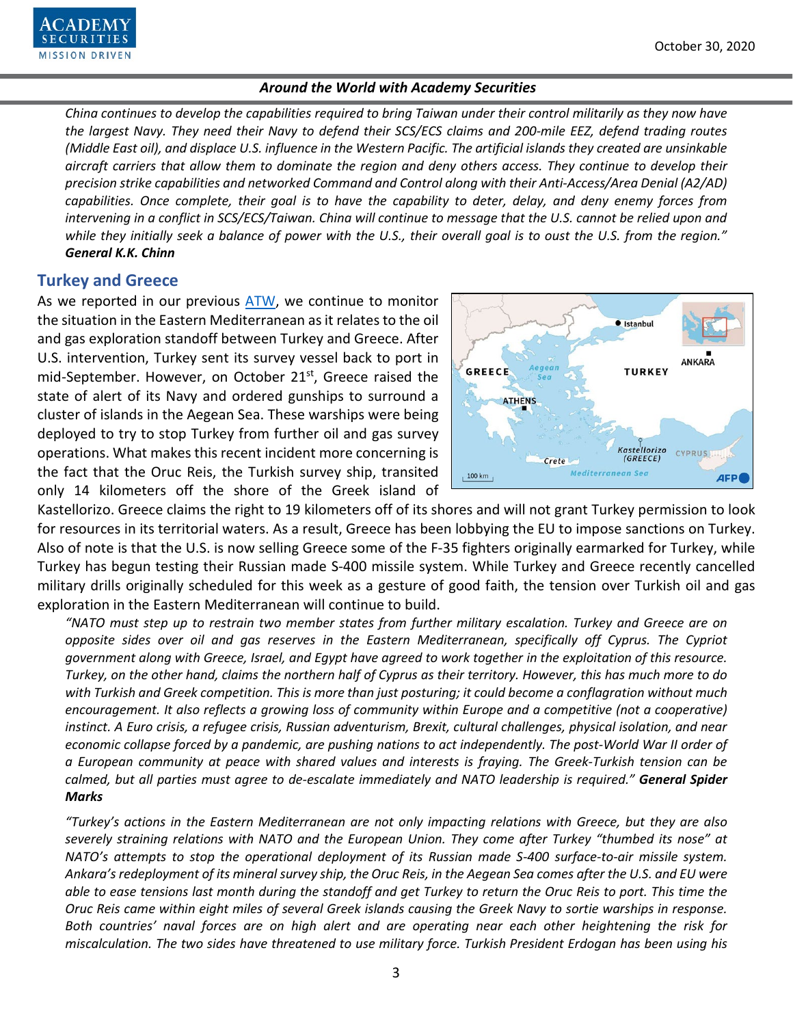*China continues to develop the capabilities required to bring Taiwan under their control militarily as they now have the largest Navy. They need their Navy to defend their SCS/ECS claims and 200-mile EEZ, defend trading routes (Middle East oil), and displace U.S. influence in the Western Pacific. The artificial islands they created are unsinkable aircraft carriers that allow them to dominate the region and deny others access. They continue to develop their precision strike capabilities and networked Command and Control along with their Anti-Access/Area Denial (A2/AD) capabilities. Once complete, their goal is to have the capability to deter, delay, and deny enemy forces from intervening in a conflict in SCS/ECS/Taiwan. China will continue to message that the U.S. cannot be relied upon and while they initially seek a balance of power with the U.S., their overall goal is to oust the U.S. from the region." General K.K. Chinn*

# **Turkey and Greece**

As we reported in our previous [ATW,](https://www.academysecurities.com/wordpress/wp-content/uploads/2020/09/Around-the-World-with-Academy-Securities_10-1-20.pdf) we continue to monitor the situation in the Eastern Mediterranean as it relates to the oil and gas exploration standoff between Turkey and Greece. After U.S. intervention, Turkey sent its survey vessel back to port in mid-September. However, on October 21<sup>st</sup>, Greece raised the state of alert of its Navy and ordered gunships to surround a cluster of islands in the Aegean Sea. These warships were being deployed to try to stop Turkey from further oil and gas survey operations. What makes this recent incident more concerning is the fact that the Oruc Reis, the Turkish survey ship, transited only 14 kilometers off the shore of the Greek island of



Kastellorizo. Greece claims the right to 19 kilometers off of its shores and will not grant Turkey permission to look for resources in its territorial waters. As a result, Greece has been lobbying the EU to impose sanctions on Turkey. Also of note is that the U.S. is now selling Greece some of the F-35 fighters originally earmarked for Turkey, while Turkey has begun testing their Russian made S-400 missile system. While Turkey and Greece recently cancelled military drills originally scheduled for this week as a gesture of good faith, the tension over Turkish oil and gas exploration in the Eastern Mediterranean will continue to build.

*"NATO must step up to restrain two member states from further military escalation. Turkey and Greece are on opposite sides over oil and gas reserves in the Eastern Mediterranean, specifically off Cyprus. The Cypriot government along with Greece, Israel, and Egypt have agreed to work together in the exploitation of this resource. Turkey, on the other hand, claims the northern half of Cyprus as their territory. However, this has much more to do with Turkish and Greek competition. This is more than just posturing; it could become a conflagration without much encouragement. It also reflects a growing loss of community within Europe and a competitive (not a cooperative) instinct. A Euro crisis, a refugee crisis, Russian adventurism, Brexit, cultural challenges, physical isolation, and near economic collapse forced by a pandemic, are pushing nations to act independently. The post-World War II order of a European community at peace with shared values and interests is fraying. The Greek-Turkish tension can be calmed, but all parties must agree to de-escalate immediately and NATO leadership is required." General Spider Marks*

*"Turkey's actions in the Eastern Mediterranean are not only impacting relations with Greece, but they are also severely straining relations with NATO and the European Union. They come after Turkey "thumbed its nose" at NATO's attempts to stop the operational deployment of its Russian made S-400 surface-to-air missile system. Ankara's redeployment of its mineral survey ship, the Oruc Reis, in the Aegean Sea comes after the U.S. and EU were able to ease tensions last month during the standoff and get Turkey to return the Oruc Reis to port. This time the Oruc Reis came within eight miles of several Greek islands causing the Greek Navy to sortie warships in response. Both countries' naval forces are on high alert and are operating near each other heightening the risk for miscalculation. The two sides have threatened to use military force. Turkish President Erdogan has been using his*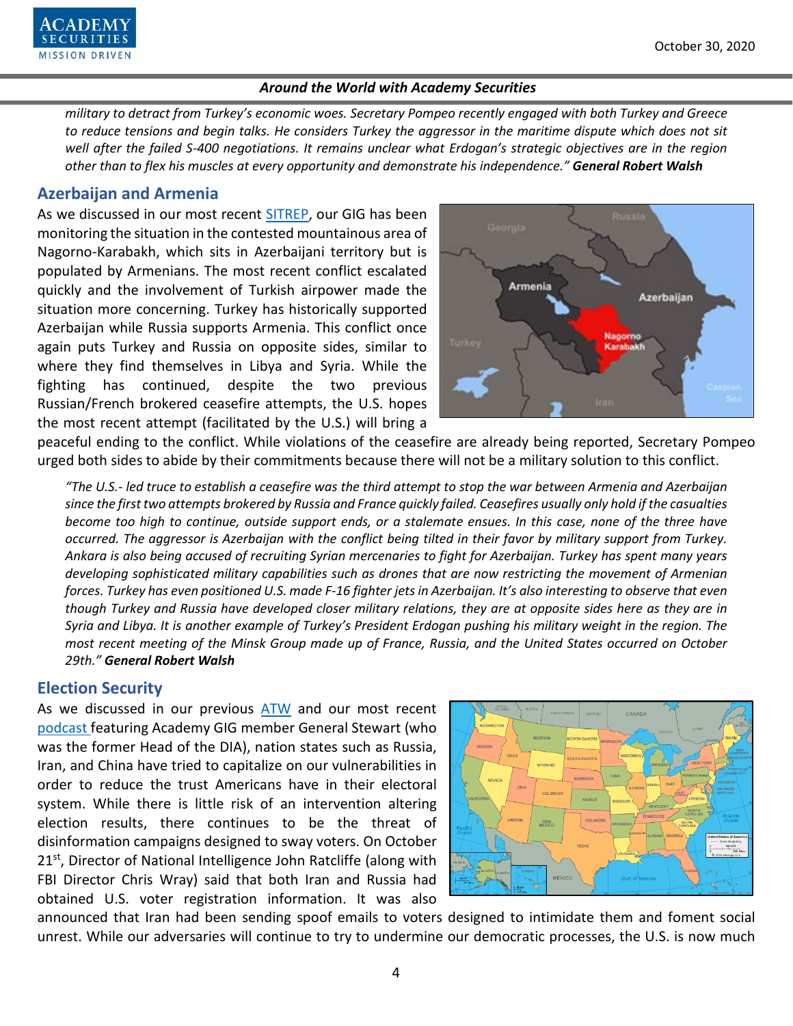

*military to detract from Turkey's economic woes. Secretary Pompeo recently engaged with both Turkey and Greece to reduce tensions and begin talks. He considers Turkey the aggressor in the maritime dispute which does not sit well after the failed S-400 negotiations. It remains unclear what Erdogan's strategic objectives are in the region other than to flex his muscles at every opportunity and demonstrate his independence." General Robert Walsh*

# **Azerbaijan and Armenia**

As we discussed in our most recent [SITREP,](https://www.academysecurities.com/conflict-between-azerbaijan-and-armenia/) our GIG has been monitoring the situation in the contested mountainous area of Nagorno-Karabakh, which sits in Azerbaijani territory but is populated by Armenians. The most recent conflict escalated quickly and the involvement of Turkish airpower made the situation more concerning. Turkey has historically supported Azerbaijan while Russia supports Armenia. This conflict once again puts Turkey and Russia on opposite sides, similar to where they find themselves in Libya and Syria. While the fighting has continued, despite the two previous Russian/French brokered ceasefire attempts, the U.S. hopes the most recent attempt (facilitated by the U.S.) will bring a



peaceful ending to the conflict. While violations of the ceasefire are already being reported, Secretary Pompeo urged both sides to abide by their commitments because there will not be a military solution to this conflict.

*"The U.S.- led truce to establish a ceasefire was the third attempt to stop the war between Armenia and Azerbaijan since the first two attempts brokered by Russia and France quickly failed. Ceasefires usually only hold if the casualties become too high to continue, outside support ends, or a stalemate ensues. In this case, none of the three have occurred. The aggressor is Azerbaijan with the conflict being tilted in their favor by military support from Turkey. Ankara is also being accused of recruiting Syrian mercenaries to fight for Azerbaijan. Turkey has spent many years developing sophisticated military capabilities such as drones that are now restricting the movement of Armenian forces. Turkey has even positioned U.S. made F-16 fighter jets in Azerbaijan. It's also interesting to observe that even though Turkey and Russia have developed closer military relations, they are at opposite sides here as they are in Syria and Libya. It is another example of Turkey's President Erdogan pushing his military weight in the region. The most recent meeting of the Minsk Group made up of France, Russia, and the United States occurred on October 29th." General Robert Walsh*

# **Election Security**

As we discussed in our previous [ATW](https://www.academysecurities.com/wordpress/wp-content/uploads/2020/09/Around-the-World-with-Academy-Securities_10-1-20.pdf) and our most recent [podcast](https://www.academysecurities.com/geopolitical/geopolitical-podcasts/) featuring Academy GIG member General Stewart (who was the former Head of the DIA), nation states such as Russia, Iran, and China have tried to capitalize on our vulnerabilities in order to reduce the trust Americans have in their electoral system. While there is little risk of an intervention altering election results, there continues to be the threat of disinformation campaigns designed to sway voters. On October  $21<sup>st</sup>$ , Director of National Intelligence John Ratcliffe (along with FBI Director Chris Wray) said that both Iran and Russia had obtained U.S. voter registration information. It was also



announced that Iran had been sending spoof emails to voters designed to intimidate them and foment social unrest. While our adversaries will continue to try to undermine our democratic processes, the U.S. is now much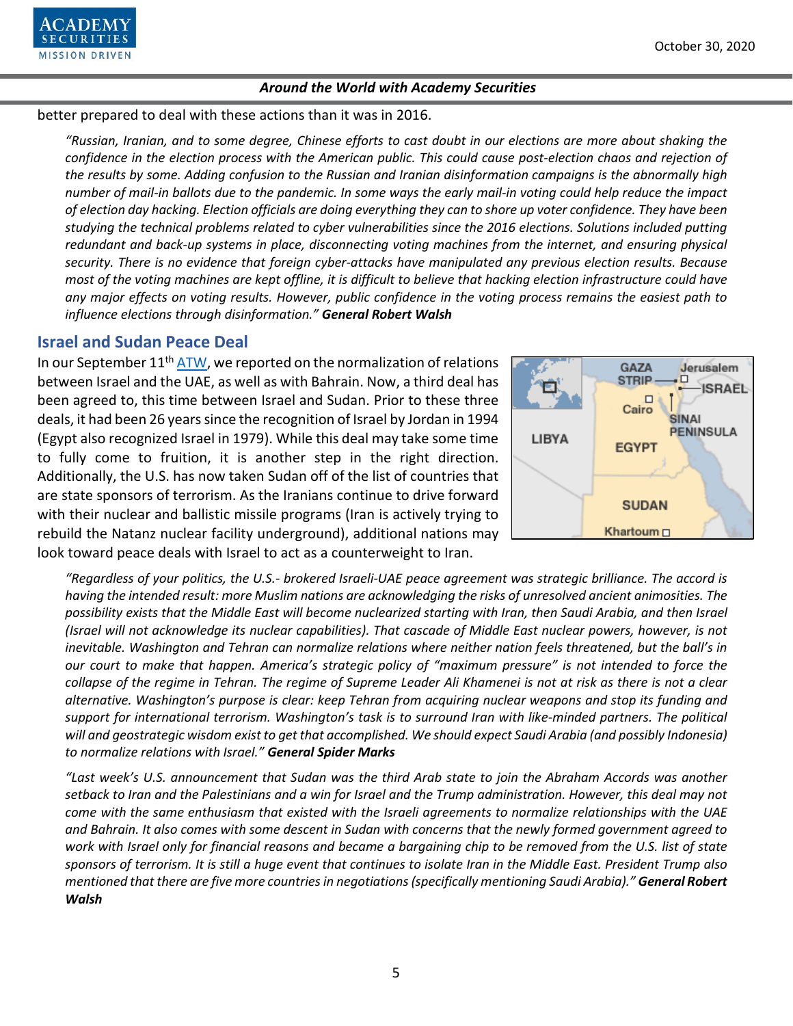

#### better prepared to deal with these actions than it was in 2016.

*"Russian, Iranian, and to some degree, Chinese efforts to cast doubt in our elections are more about shaking the confidence in the election process with the American public. This could cause post-election chaos and rejection of the results by some. Adding confusion to the Russian and Iranian disinformation campaigns is the abnormally high number of mail-in ballots due to the pandemic. In some ways the early mail-in voting could help reduce the impact of election day hacking. Election officials are doing everything they can to shore up voter confidence. They have been studying the technical problems related to cyber vulnerabilities since the 2016 elections. Solutions included putting redundant and back-up systems in place, disconnecting voting machines from the internet, and ensuring physical security. There is no evidence that foreign cyber-attacks have manipulated any previous election results. Because most of the voting machines are kept offline, it is difficult to believe that hacking election infrastructure could have any major effects on voting results. However, public confidence in the voting process remains the easiest path to influence elections through disinformation." General Robert Walsh*

#### **Israel and Sudan Peace Deal**

In our September  $11<sup>th</sup> ATW$ , we reported on the normalization of relations between Israel and the UAE, as well as with Bahrain. Now, a third deal has been agreed to, this time between Israel and Sudan. Prior to these three deals, it had been 26 years since the recognition of Israel by Jordan in 1994 (Egypt also recognized Israel in 1979). While this deal may take some time to fully come to fruition, it is another step in the right direction. Additionally, the U.S. has now taken Sudan off of the list of countries that are state sponsors of terrorism. As the Iranians continue to drive forward with their nuclear and ballistic missile programs (Iran is actively trying to rebuild the Natanz nuclear facility underground), additional nations may look toward peace deals with Israel to act as a counterweight to Iran.



*"Regardless of your politics, the U.S.- brokered Israeli-UAE peace agreement was strategic brilliance. The accord is having the intended result: more Muslim nations are acknowledging the risks of unresolved ancient animosities. The possibility exists that the Middle East will become nuclearized starting with Iran, then Saudi Arabia, and then Israel (Israel will not acknowledge its nuclear capabilities). That cascade of Middle East nuclear powers, however, is not inevitable. Washington and Tehran can normalize relations where neither nation feels threatened, but the ball's in our court to make that happen. America's strategic policy of "maximum pressure" is not intended to force the collapse of the regime in Tehran. The regime of Supreme Leader Ali Khamenei is not at risk as there is not a clear alternative. Washington's purpose is clear: keep Tehran from acquiring nuclear weapons and stop its funding and support for international terrorism. Washington's task is to surround Iran with like-minded partners. The political will and geostrategic wisdom exist to get that accomplished. We should expect Saudi Arabia (and possibly Indonesia) to normalize relations with Israel." General Spider Marks*

*"Last week's U.S. announcement that Sudan was the third Arab state to join the Abraham Accords was another setback to Iran and the Palestinians and a win for Israel and the Trump administration. However, this deal may not come with the same enthusiasm that existed with the Israeli agreements to normalize relationships with the UAE and Bahrain. It also comes with some descent in Sudan with concerns that the newly formed government agreed to*  work with Israel only for financial reasons and became a bargaining chip to be removed from the U.S. list of state *sponsors of terrorism. It is still a huge event that continues to isolate Iran in the Middle East. President Trump also mentioned that there are five more countries in negotiations (specifically mentioning Saudi Arabia)." General Robert Walsh*